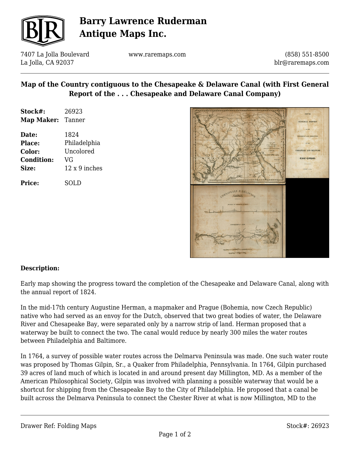

# **Barry Lawrence Ruderman Antique Maps Inc.**

7407 La Jolla Boulevard La Jolla, CA 92037

www.raremaps.com

(858) 551-8500 blr@raremaps.com

## **Map of the Country contiguous to the Chesapeake & Delaware Canal (with First General Report of the . . . Chesapeake and Delaware Canal Company)**

| Stock#:    | 26923  |
|------------|--------|
| Map Maker: | Tanner |

**Date:** 1824 **Place:** Philadelphia **Color:** Uncolored **Condition:** VG **Size:** 12 x 9 inches

**Price:** SOLD



### **Description:**

Early map showing the progress toward the completion of the Chesapeake and Delaware Canal, along with the annual report of 1824.

In the mid-17th century Augustine Herman, a mapmaker and Prague (Bohemia, now Czech Republic) native who had served as an envoy for the Dutch, observed that two great bodies of water, the Delaware River and Chesapeake Bay, were separated only by a narrow strip of land. Herman proposed that a waterway be built to connect the two. The canal would reduce by nearly 300 miles the water routes between Philadelphia and Baltimore.

In 1764, a survey of possible water routes across the Delmarva Peninsula was made. One such water route was proposed by Thomas Gilpin, Sr., a Quaker from Philadelphia, Pennsylvania. In 1764, Gilpin purchased 39 acres of land much of which is located in and around present day Millington, MD. As a member of the American Philosophical Society, Gilpin was involved with planning a possible waterway that would be a shortcut for shipping from the Chesapeake Bay to the City of Philadelphia. He proposed that a canal be built across the Delmarva Peninsula to connect the Chester River at what is now Millington, MD to the